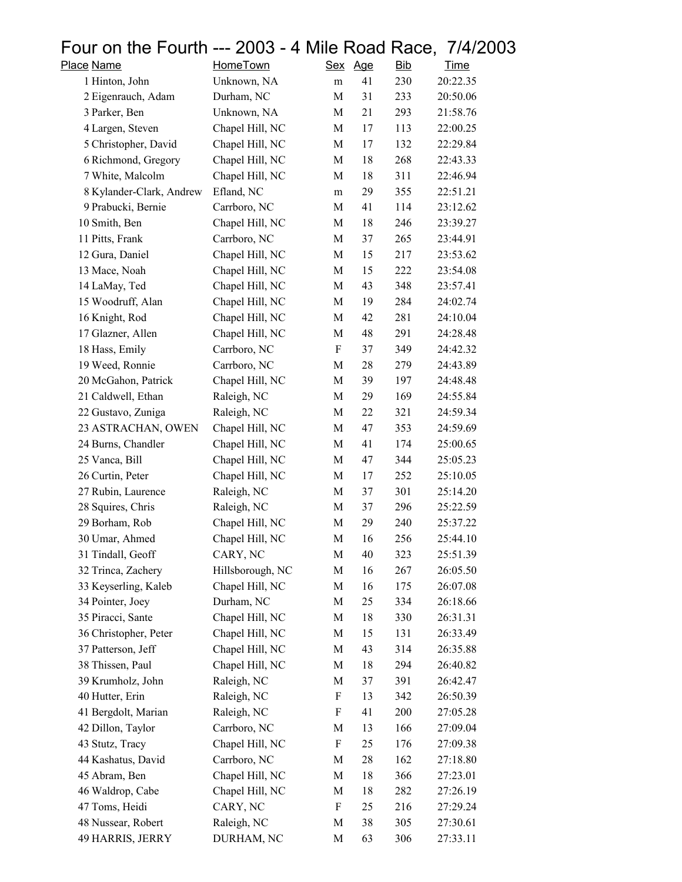## Four on the Fourth --- 2003 - 4 Mile Road Race, 7/4/2003<br>Place Name HomeTown Sex Age Bib Time

| Place Name               | HomeTown         | <u>Sex</u> | <u>Age</u> | <b>Bib</b> | <u>Time</u> |
|--------------------------|------------------|------------|------------|------------|-------------|
| 1 Hinton, John           | Unknown, NA      | m          | 41         | 230        | 20:22.35    |
| 2 Eigenrauch, Adam       | Durham, NC       | M          | 31         | 233        | 20:50.06    |
| 3 Parker, Ben            | Unknown, NA      | M          | 21         | 293        | 21:58.76    |
| 4 Largen, Steven         | Chapel Hill, NC  | M          | 17         | 113        | 22:00.25    |
| 5 Christopher, David     | Chapel Hill, NC  | M          | 17         | 132        | 22:29.84    |
| 6 Richmond, Gregory      | Chapel Hill, NC  | M          | 18         | 268        | 22:43.33    |
| 7 White, Malcolm         | Chapel Hill, NC  | M          | 18         | 311        | 22:46.94    |
| 8 Kylander-Clark, Andrew | Efland, NC       | m          | 29         | 355        | 22:51.21    |
| 9 Prabucki, Bernie       | Carrboro, NC     | M          | 41         | 114        | 23:12.62    |
| 10 Smith, Ben            | Chapel Hill, NC  | M          | 18         | 246        | 23:39.27    |
| 11 Pitts, Frank          | Carrboro, NC     | M          | 37         | 265        | 23:44.91    |
| 12 Gura, Daniel          | Chapel Hill, NC  | M          | 15         | 217        | 23:53.62    |
| 13 Mace, Noah            | Chapel Hill, NC  | M          | 15         | 222        | 23:54.08    |
| 14 LaMay, Ted            | Chapel Hill, NC  | M          | 43         | 348        | 23:57.41    |
| 15 Woodruff, Alan        | Chapel Hill, NC  | M          | 19         | 284        | 24:02.74    |
| 16 Knight, Rod           | Chapel Hill, NC  | M          | 42         | 281        | 24:10.04    |
| 17 Glazner, Allen        | Chapel Hill, NC  | M          | 48         | 291        | 24:28.48    |
| 18 Hass, Emily           | Carrboro, NC     | F          | 37         | 349        | 24:42.32    |
| 19 Weed, Ronnie          | Carrboro, NC     | M          | 28         | 279        | 24:43.89    |
| 20 McGahon, Patrick      | Chapel Hill, NC  | M          | 39         | 197        | 24:48.48    |
| 21 Caldwell, Ethan       | Raleigh, NC      | M          | 29         | 169        | 24:55.84    |
| 22 Gustavo, Zuniga       | Raleigh, NC      | M          | 22         | 321        | 24:59.34    |
| 23 ASTRACHAN, OWEN       | Chapel Hill, NC  | M          | 47         | 353        | 24:59.69    |
| 24 Burns, Chandler       | Chapel Hill, NC  | M          | 41         | 174        | 25:00.65    |
| 25 Vanca, Bill           | Chapel Hill, NC  | M          | 47         | 344        | 25:05.23    |
| 26 Curtin, Peter         | Chapel Hill, NC  | M          | 17         | 252        | 25:10.05    |
| 27 Rubin, Laurence       | Raleigh, NC      | M          | 37         | 301        | 25:14.20    |
| 28 Squires, Chris        | Raleigh, NC      | M          | 37         | 296        | 25:22.59    |
| 29 Borham, Rob           | Chapel Hill, NC  | M          | 29         | 240        | 25:37.22    |
| 30 Umar, Ahmed           | Chapel Hill, NC  | M          | 16         | 256        | 25:44.10    |
| 31 Tindall, Geoff        | CARY, NC         | M          | 40         | 323        | 25:51.39    |
| 32 Trinca, Zachery       | Hillsborough, NC | M          | 16         | 267        | 26:05.50    |
| 33 Keyserling, Kaleb     | Chapel Hill, NC  | M          | 16         | 175        | 26:07.08    |
| 34 Pointer, Joey         | Durham, NC       | M          | 25         | 334        | 26:18.66    |
| 35 Piracci, Sante        | Chapel Hill, NC  | M          | 18         | 330        | 26:31.31    |
| 36 Christopher, Peter    | Chapel Hill, NC  | M          | 15         | 131        | 26:33.49    |
| 37 Patterson, Jeff       | Chapel Hill, NC  | M          | 43         | 314        | 26:35.88    |
| 38 Thissen, Paul         | Chapel Hill, NC  | M          | 18         | 294        | 26:40.82    |
| 39 Krumholz, John        | Raleigh, NC      | M          | 37         | 391        | 26:42.47    |
| 40 Hutter, Erin          | Raleigh, NC      | F          | 13         | 342        | 26:50.39    |
| 41 Bergdolt, Marian      | Raleigh, NC      | F          | 41         | 200        | 27:05.28    |
| 42 Dillon, Taylor        | Carrboro, NC     | M          | 13         | 166        | 27:09.04    |
| 43 Stutz, Tracy          | Chapel Hill, NC  | F          | 25         | 176        | 27:09.38    |
| 44 Kashatus, David       | Carrboro, NC     | M          | 28         | 162        | 27:18.80    |
| 45 Abram, Ben            | Chapel Hill, NC  | M          | 18         | 366        | 27:23.01    |
| 46 Waldrop, Cabe         | Chapel Hill, NC  | M          | 18         | 282        | 27:26.19    |
| 47 Toms, Heidi           | CARY, NC         | F          | 25         | 216        | 27:29.24    |
| 48 Nussear, Robert       | Raleigh, NC      | M          | 38         | 305        | 27:30.61    |
| 49 HARRIS, JERRY         | DURHAM, NC       | M          | 63         | 306        | 27:33.11    |
|                          |                  |            |            |            |             |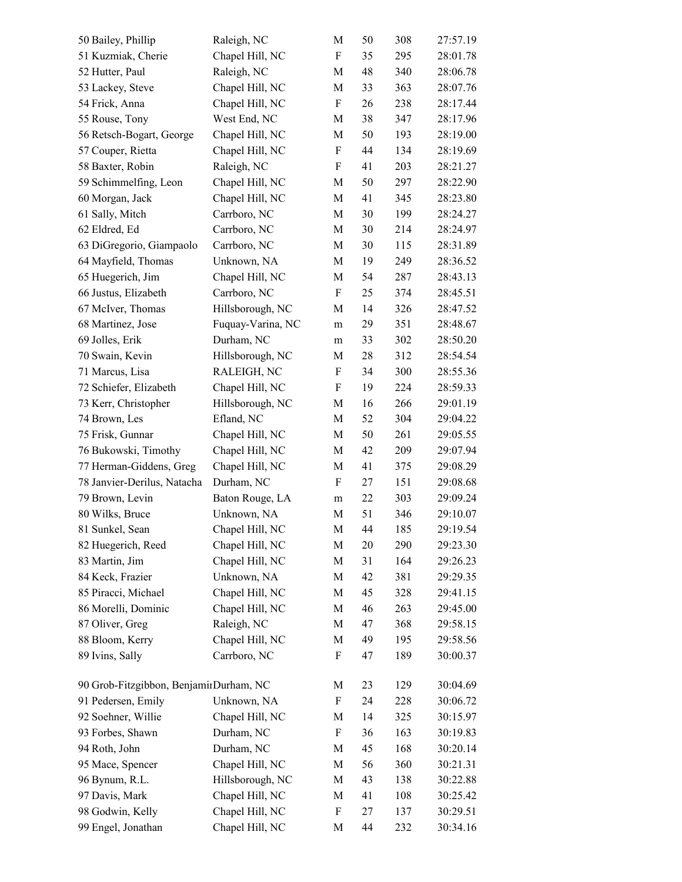| 50 Bailey, Phillip                     | Raleigh, NC       | M                         | 50 | 308 | 27:57.19 |
|----------------------------------------|-------------------|---------------------------|----|-----|----------|
| 51 Kuzmiak, Cherie                     | Chapel Hill, NC   | $\boldsymbol{\mathrm{F}}$ | 35 | 295 | 28:01.78 |
| 52 Hutter, Paul                        | Raleigh, NC       | M                         | 48 | 340 | 28:06.78 |
| 53 Lackey, Steve                       | Chapel Hill, NC   | M                         | 33 | 363 | 28:07.76 |
| 54 Frick, Anna                         | Chapel Hill, NC   | $\boldsymbol{\mathrm{F}}$ | 26 | 238 | 28:17.44 |
| 55 Rouse, Tony                         | West End, NC      | M                         | 38 | 347 | 28:17.96 |
| 56 Retsch-Bogart, George               | Chapel Hill, NC   | M                         | 50 | 193 | 28:19.00 |
| 57 Couper, Rietta                      | Chapel Hill, NC   | $\boldsymbol{\mathrm{F}}$ | 44 | 134 | 28:19.69 |
| 58 Baxter, Robin                       | Raleigh, NC       | $\boldsymbol{\mathrm{F}}$ | 41 | 203 | 28:21.27 |
| 59 Schimmelfing, Leon                  | Chapel Hill, NC   | M                         | 50 | 297 | 28:22.90 |
| 60 Morgan, Jack                        | Chapel Hill, NC   | M                         | 41 | 345 | 28:23.80 |
| 61 Sally, Mitch                        | Carrboro, NC      | M                         | 30 | 199 | 28:24.27 |
| 62 Eldred, Ed                          | Carrboro, NC      | M                         | 30 | 214 | 28:24.97 |
| 63 DiGregorio, Giampaolo               | Carrboro, NC      | M                         | 30 | 115 | 28:31.89 |
| 64 Mayfield, Thomas                    | Unknown, NA       | M                         | 19 | 249 | 28:36.52 |
| 65 Huegerich, Jim                      | Chapel Hill, NC   | M                         | 54 | 287 | 28:43.13 |
| 66 Justus, Elizabeth                   | Carrboro, NC      | $\boldsymbol{\mathrm{F}}$ | 25 | 374 | 28:45.51 |
| 67 McIver, Thomas                      | Hillsborough, NC  | M                         | 14 | 326 | 28:47.52 |
| 68 Martinez, Jose                      | Fuquay-Varina, NC | m                         | 29 | 351 | 28:48.67 |
| 69 Jolles, Erik                        | Durham, NC        | m                         | 33 | 302 | 28:50.20 |
| 70 Swain, Kevin                        | Hillsborough, NC  | M                         | 28 | 312 | 28:54.54 |
| 71 Marcus, Lisa                        | RALEIGH, NC       | $\boldsymbol{\mathrm{F}}$ | 34 | 300 | 28:55.36 |
| 72 Schiefer, Elizabeth                 | Chapel Hill, NC   | F                         | 19 | 224 | 28:59.33 |
| 73 Kerr, Christopher                   | Hillsborough, NC  | M                         | 16 | 266 | 29:01.19 |
| 74 Brown, Les                          | Efland, NC        | M                         | 52 | 304 | 29:04.22 |
| 75 Frisk, Gunnar                       | Chapel Hill, NC   | M                         | 50 | 261 | 29:05.55 |
| 76 Bukowski, Timothy                   | Chapel Hill, NC   | M                         | 42 | 209 | 29:07.94 |
| 77 Herman-Giddens, Greg                | Chapel Hill, NC   | M                         | 41 | 375 | 29:08.29 |
| 78 Janvier-Derilus, Natacha            | Durham, NC        | F                         | 27 | 151 | 29:08.68 |
| 79 Brown, Levin                        | Baton Rouge, LA   | m                         | 22 | 303 | 29:09.24 |
| 80 Wilks, Bruce                        | Unknown, NA       | M                         | 51 | 346 | 29:10.07 |
| 81 Sunkel, Sean                        | Chapel Hill, NC   | M                         | 44 | 185 | 29:19.54 |
| 82 Huegerich, Reed                     | Chapel Hill, NC   | M                         | 20 | 290 | 29:23.30 |
| 83 Martin, Jim                         | Chapel Hill, NC   | M                         | 31 | 164 | 29:26.23 |
| 84 Keck, Frazier                       | Unknown, NA       | M                         | 42 | 381 | 29:29.35 |
| 85 Piracci, Michael                    | Chapel Hill, NC   | M                         | 45 | 328 | 29:41.15 |
| 86 Morelli, Dominic                    | Chapel Hill, NC   | M                         | 46 | 263 | 29:45.00 |
| 87 Oliver, Greg                        | Raleigh, NC       | M                         | 47 | 368 | 29:58.15 |
| 88 Bloom, Kerry                        | Chapel Hill, NC   | M                         | 49 | 195 | 29:58.56 |
| 89 Ivins, Sally                        | Carrboro, NC      | F                         | 47 | 189 | 30:00.37 |
| 90 Grob-Fitzgibbon, BenjamirDurham, NC |                   | M                         | 23 | 129 | 30:04.69 |
| 91 Pedersen, Emily                     | Unknown, NA       | F                         | 24 | 228 | 30:06.72 |
| 92 Soehner, Willie                     | Chapel Hill, NC   | M                         | 14 | 325 | 30:15.97 |
| 93 Forbes, Shawn                       | Durham, NC        | F                         | 36 | 163 | 30:19.83 |
| 94 Roth, John                          | Durham, NC        | M                         | 45 | 168 | 30:20.14 |
| 95 Mace, Spencer                       | Chapel Hill, NC   | M                         | 56 | 360 | 30:21.31 |
| 96 Bynum, R.L.                         | Hillsborough, NC  | M                         | 43 | 138 | 30:22.88 |
| 97 Davis, Mark                         | Chapel Hill, NC   | M                         | 41 | 108 | 30:25.42 |
| 98 Godwin, Kelly                       | Chapel Hill, NC   | F                         | 27 | 137 | 30:29.51 |
| 99 Engel, Jonathan                     | Chapel Hill, NC   | M                         | 44 | 232 | 30:34.16 |
|                                        |                   |                           |    |     |          |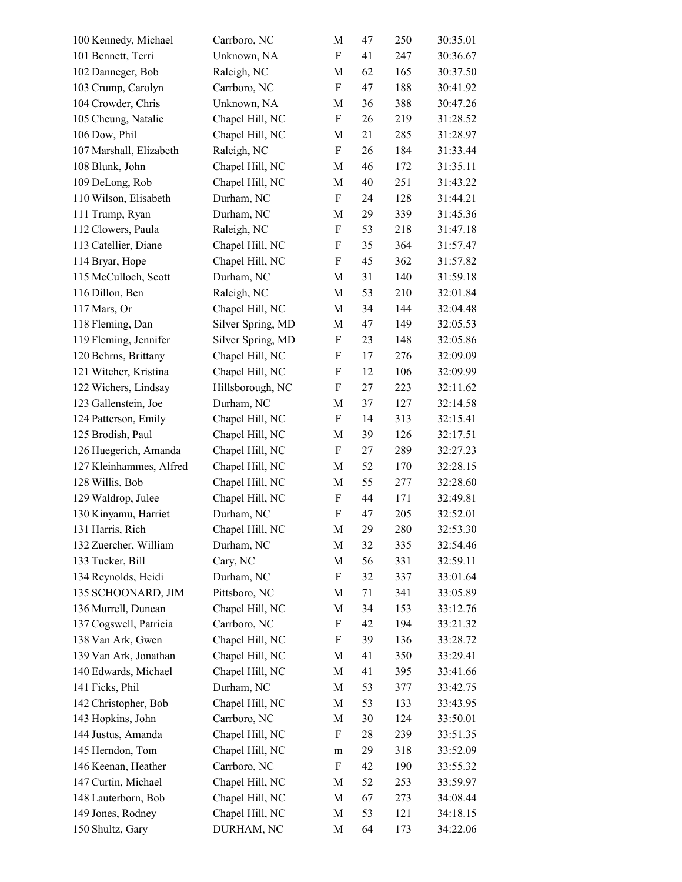| 100 Kennedy, Michael    | Carrboro, NC      | M                         | 47 | 250 | 30:35.01 |
|-------------------------|-------------------|---------------------------|----|-----|----------|
| 101 Bennett, Terri      | Unknown, NA       | $\boldsymbol{\mathrm{F}}$ | 41 | 247 | 30:36.67 |
| 102 Danneger, Bob       | Raleigh, NC       | M                         | 62 | 165 | 30:37.50 |
| 103 Crump, Carolyn      | Carrboro, NC      | $\boldsymbol{\mathrm{F}}$ | 47 | 188 | 30:41.92 |
| 104 Crowder, Chris      | Unknown, NA       | $\mathbf M$               | 36 | 388 | 30:47.26 |
| 105 Cheung, Natalie     | Chapel Hill, NC   | $\boldsymbol{\mathrm{F}}$ | 26 | 219 | 31:28.52 |
| 106 Dow, Phil           | Chapel Hill, NC   | M                         | 21 | 285 | 31:28.97 |
| 107 Marshall, Elizabeth | Raleigh, NC       | $\boldsymbol{\mathrm{F}}$ | 26 | 184 | 31:33.44 |
| 108 Blunk, John         | Chapel Hill, NC   | M                         | 46 | 172 | 31:35.11 |
| 109 DeLong, Rob         | Chapel Hill, NC   | M                         | 40 | 251 | 31:43.22 |
| 110 Wilson, Elisabeth   | Durham, NC        | $\boldsymbol{\mathrm{F}}$ | 24 | 128 | 31:44.21 |
| 111 Trump, Ryan         | Durham, NC        | M                         | 29 | 339 | 31:45.36 |
| 112 Clowers, Paula      | Raleigh, NC       | $\boldsymbol{\mathrm{F}}$ | 53 | 218 | 31:47.18 |
| 113 Catellier, Diane    | Chapel Hill, NC   | $\boldsymbol{\mathrm{F}}$ | 35 | 364 | 31:57.47 |
| 114 Bryar, Hope         | Chapel Hill, NC   | $\boldsymbol{\mathrm{F}}$ | 45 | 362 | 31:57.82 |
| 115 McCulloch, Scott    | Durham, NC        | M                         | 31 | 140 | 31:59.18 |
| 116 Dillon, Ben         | Raleigh, NC       | M                         | 53 | 210 | 32:01.84 |
| 117 Mars, Or            | Chapel Hill, NC   | M                         | 34 | 144 | 32:04.48 |
| 118 Fleming, Dan        | Silver Spring, MD | $\mathbf M$               | 47 | 149 | 32:05.53 |
| 119 Fleming, Jennifer   | Silver Spring, MD | F                         | 23 | 148 | 32:05.86 |
| 120 Behrns, Brittany    | Chapel Hill, NC   | $\boldsymbol{\mathrm{F}}$ | 17 | 276 | 32:09.09 |
| 121 Witcher, Kristina   | Chapel Hill, NC   | F                         | 12 | 106 | 32:09.99 |
| 122 Wichers, Lindsay    | Hillsborough, NC  | F                         | 27 | 223 | 32:11.62 |
| 123 Gallenstein, Joe    | Durham, NC        | M                         | 37 | 127 | 32:14.58 |
| 124 Patterson, Emily    | Chapel Hill, NC   | $\boldsymbol{\mathrm{F}}$ | 14 | 313 | 32:15.41 |
| 125 Brodish, Paul       | Chapel Hill, NC   | M                         | 39 | 126 | 32:17.51 |
| 126 Huegerich, Amanda   | Chapel Hill, NC   | F                         | 27 | 289 | 32:27.23 |
| 127 Kleinhammes, Alfred | Chapel Hill, NC   | M                         | 52 | 170 | 32:28.15 |
| 128 Willis, Bob         | Chapel Hill, NC   | M                         | 55 | 277 | 32:28.60 |
| 129 Waldrop, Julee      | Chapel Hill, NC   | F                         | 44 | 171 | 32:49.81 |
| 130 Kinyamu, Harriet    | Durham, NC        | ${\bf F}$                 | 47 | 205 | 32:52.01 |
| 131 Harris, Rich        | Chapel Hill, NC   | M                         | 29 | 280 | 32:53.30 |
| 132 Zuercher, William   | Durham, NC        | M                         | 32 | 335 | 32:54.46 |
| 133 Tucker, Bill        | Cary, NC          | M                         | 56 | 331 | 32:59.11 |
| 134 Reynolds, Heidi     | Durham, NC        | F                         | 32 | 337 | 33:01.64 |
| 135 SCHOONARD, JIM      | Pittsboro, NC     | M                         | 71 | 341 | 33:05.89 |
| 136 Murrell, Duncan     | Chapel Hill, NC   | M                         | 34 | 153 | 33:12.76 |
| 137 Cogswell, Patricia  | Carrboro, NC      | F                         | 42 | 194 | 33:21.32 |
| 138 Van Ark, Gwen       | Chapel Hill, NC   | F                         | 39 | 136 | 33:28.72 |
| 139 Van Ark, Jonathan   | Chapel Hill, NC   | M                         | 41 | 350 | 33:29.41 |
| 140 Edwards, Michael    | Chapel Hill, NC   | M                         | 41 | 395 | 33:41.66 |
| 141 Ficks, Phil         | Durham, NC        | M                         | 53 | 377 | 33:42.75 |
| 142 Christopher, Bob    | Chapel Hill, NC   | M                         | 53 | 133 | 33:43.95 |
| 143 Hopkins, John       | Carrboro, NC      | M                         | 30 | 124 | 33:50.01 |
| 144 Justus, Amanda      | Chapel Hill, NC   | F                         | 28 | 239 | 33:51.35 |
| 145 Herndon, Tom        | Chapel Hill, NC   | ${\rm m}$                 | 29 | 318 | 33:52.09 |
| 146 Keenan, Heather     | Carrboro, NC      | F                         | 42 | 190 | 33:55.32 |
| 147 Curtin, Michael     | Chapel Hill, NC   | M                         | 52 | 253 | 33:59.97 |
| 148 Lauterborn, Bob     | Chapel Hill, NC   | M                         | 67 | 273 | 34:08.44 |
| 149 Jones, Rodney       | Chapel Hill, NC   | M                         | 53 | 121 | 34:18.15 |
| 150 Shultz, Gary        | DURHAM, NC        | M                         | 64 | 173 | 34:22.06 |
|                         |                   |                           |    |     |          |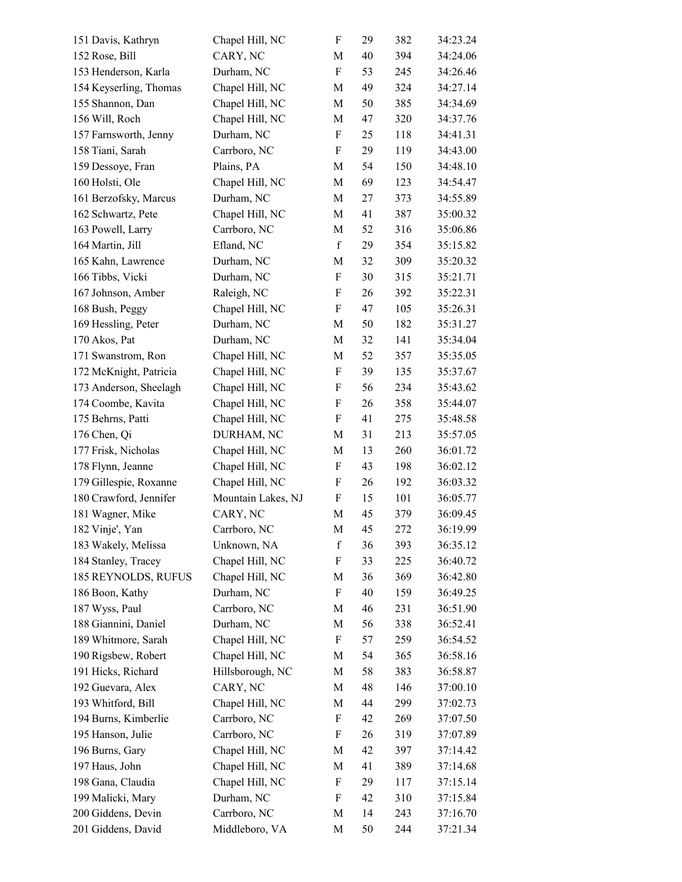| 151 Davis, Kathryn     | Chapel Hill, NC    | F                         | 29 | 382 | 34:23.24 |
|------------------------|--------------------|---------------------------|----|-----|----------|
| 152 Rose, Bill         | CARY, NC           | M                         | 40 | 394 | 34:24.06 |
| 153 Henderson, Karla   | Durham, NC         | F                         | 53 | 245 | 34:26.46 |
| 154 Keyserling, Thomas | Chapel Hill, NC    | M                         | 49 | 324 | 34:27.14 |
| 155 Shannon, Dan       | Chapel Hill, NC    | M                         | 50 | 385 | 34:34.69 |
| 156 Will, Roch         | Chapel Hill, NC    | M                         | 47 | 320 | 34:37.76 |
| 157 Farnsworth, Jenny  | Durham, NC         | F                         | 25 | 118 | 34:41.31 |
| 158 Tiani, Sarah       | Carrboro, NC       | $\boldsymbol{\mathrm{F}}$ | 29 | 119 | 34:43.00 |
| 159 Dessoye, Fran      | Plains, PA         | M                         | 54 | 150 | 34:48.10 |
| 160 Holsti, Ole        | Chapel Hill, NC    | M                         | 69 | 123 | 34:54.47 |
| 161 Berzofsky, Marcus  | Durham, NC         | M                         | 27 | 373 | 34:55.89 |
| 162 Schwartz, Pete     | Chapel Hill, NC    | M                         | 41 | 387 | 35:00.32 |
| 163 Powell, Larry      | Carrboro, NC       | M                         | 52 | 316 | 35:06.86 |
| 164 Martin, Jill       | Efland, NC         | $\mathbf f$               | 29 | 354 | 35:15.82 |
| 165 Kahn, Lawrence     | Durham, NC         | M                         | 32 | 309 | 35:20.32 |
| 166 Tibbs, Vicki       | Durham, NC         | F                         | 30 | 315 | 35:21.71 |
| 167 Johnson, Amber     | Raleigh, NC        | $\boldsymbol{\mathrm{F}}$ | 26 | 392 | 35:22.31 |
| 168 Bush, Peggy        | Chapel Hill, NC    | F                         | 47 | 105 | 35:26.31 |
| 169 Hessling, Peter    | Durham, NC         | M                         | 50 | 182 | 35:31.27 |
| 170 Akos, Pat          | Durham, NC         | M                         | 32 | 141 | 35:34.04 |
| 171 Swanstrom, Ron     | Chapel Hill, NC    | M                         | 52 | 357 | 35:35.05 |
| 172 McKnight, Patricia | Chapel Hill, NC    | F                         | 39 | 135 | 35:37.67 |
| 173 Anderson, Sheelagh | Chapel Hill, NC    | F                         | 56 | 234 | 35:43.62 |
| 174 Coombe, Kavita     | Chapel Hill, NC    | F                         | 26 | 358 | 35:44.07 |
| 175 Behrns, Patti      | Chapel Hill, NC    | F                         | 41 | 275 | 35:48.58 |
| 176 Chen, Qi           | DURHAM, NC         | M                         | 31 | 213 | 35:57.05 |
| 177 Frisk, Nicholas    | Chapel Hill, NC    | M                         | 13 | 260 | 36:01.72 |
| 178 Flynn, Jeanne      | Chapel Hill, NC    | F                         | 43 | 198 | 36:02.12 |
| 179 Gillespie, Roxanne | Chapel Hill, NC    | F                         | 26 | 192 | 36:03.32 |
| 180 Crawford, Jennifer | Mountain Lakes, NJ | F                         | 15 | 101 | 36:05.77 |
| 181 Wagner, Mike       | CARY, NC           | $\mathbf M$               | 45 | 379 | 36:09.45 |
| 182 Vinje', Yan        | Carrboro, NC       | M                         | 45 | 272 | 36:19.99 |
| 183 Wakely, Melissa    | Unknown, NA        | f                         | 36 | 393 | 36:35.12 |
| 184 Stanley, Tracey    | Chapel Hill, NC    | F                         | 33 | 225 | 36:40.72 |
| 185 REYNOLDS, RUFUS    | Chapel Hill, NC    | M                         | 36 | 369 | 36:42.80 |
| 186 Boon, Kathy        | Durham, NC         | F                         | 40 | 159 | 36:49.25 |
| 187 Wyss, Paul         | Carrboro, NC       | M                         | 46 | 231 | 36:51.90 |
| 188 Giannini, Daniel   | Durham, NC         | M                         | 56 | 338 | 36:52.41 |
| 189 Whitmore, Sarah    | Chapel Hill, NC    | F                         | 57 | 259 | 36:54.52 |
| 190 Rigsbew, Robert    | Chapel Hill, NC    | M                         | 54 | 365 | 36:58.16 |
| 191 Hicks, Richard     | Hillsborough, NC   | M                         | 58 | 383 | 36:58.87 |
| 192 Guevara, Alex      | CARY, NC           | M                         | 48 | 146 | 37:00.10 |
| 193 Whitford, Bill     | Chapel Hill, NC    | M                         | 44 | 299 | 37:02.73 |
| 194 Burns, Kimberlie   | Carrboro, NC       | F                         | 42 | 269 | 37:07.50 |
| 195 Hanson, Julie      | Carrboro, NC       | F                         | 26 | 319 | 37:07.89 |
| 196 Burns, Gary        | Chapel Hill, NC    | M                         | 42 | 397 | 37:14.42 |
| 197 Haus, John         | Chapel Hill, NC    | M                         | 41 | 389 | 37:14.68 |
| 198 Gana, Claudia      | Chapel Hill, NC    | F                         | 29 | 117 | 37:15.14 |
| 199 Malicki, Mary      | Durham, NC         | F                         | 42 | 310 | 37:15.84 |
| 200 Giddens, Devin     | Carrboro, NC       | M                         | 14 | 243 | 37:16.70 |
| 201 Giddens, David     | Middleboro, VA     | M                         | 50 | 244 | 37:21.34 |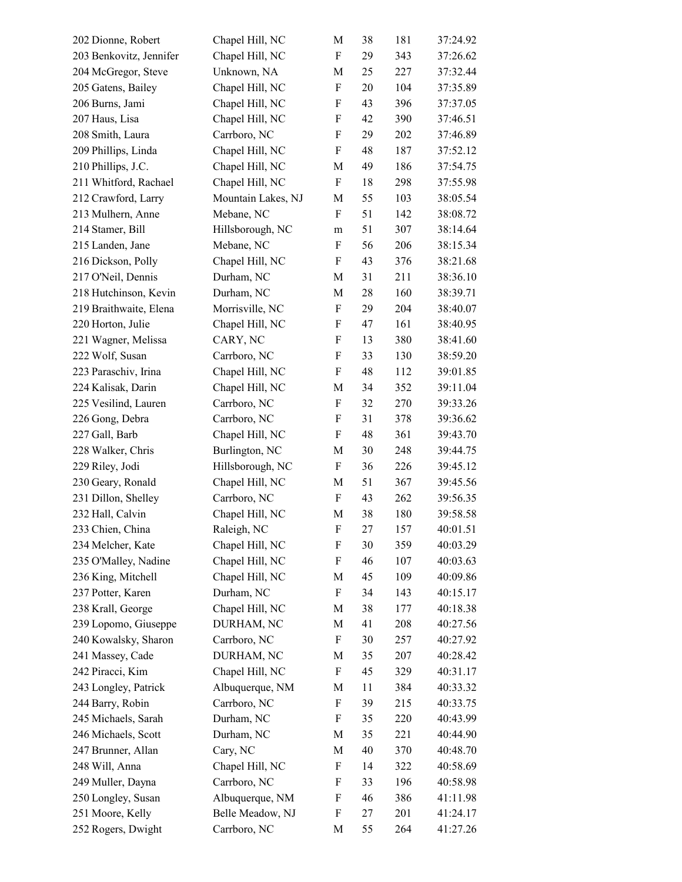| 202 Dionne, Robert      | Chapel Hill, NC    | M                         | 38 | 181 | 37:24.92 |
|-------------------------|--------------------|---------------------------|----|-----|----------|
| 203 Benkovitz, Jennifer | Chapel Hill, NC    | F                         | 29 | 343 | 37:26.62 |
| 204 McGregor, Steve     | Unknown, NA        | M                         | 25 | 227 | 37:32.44 |
| 205 Gatens, Bailey      | Chapel Hill, NC    | $\boldsymbol{\mathrm{F}}$ | 20 | 104 | 37:35.89 |
| 206 Burns, Jami         | Chapel Hill, NC    | $\boldsymbol{\mathrm{F}}$ | 43 | 396 | 37:37.05 |
| 207 Haus, Lisa          | Chapel Hill, NC    | F                         | 42 | 390 | 37:46.51 |
| 208 Smith, Laura        | Carrboro, NC       | F                         | 29 | 202 | 37:46.89 |
| 209 Phillips, Linda     | Chapel Hill, NC    | F                         | 48 | 187 | 37:52.12 |
| 210 Phillips, J.C.      | Chapel Hill, NC    | M                         | 49 | 186 | 37:54.75 |
| 211 Whitford, Rachael   | Chapel Hill, NC    | F                         | 18 | 298 | 37:55.98 |
| 212 Crawford, Larry     | Mountain Lakes, NJ | M                         | 55 | 103 | 38:05.54 |
| 213 Mulhern, Anne       | Mebane, NC         | $\boldsymbol{\mathrm{F}}$ | 51 | 142 | 38:08.72 |
| 214 Stamer, Bill        | Hillsborough, NC   | m                         | 51 | 307 | 38:14.64 |
| 215 Landen, Jane        | Mebane, NC         | $\boldsymbol{\mathrm{F}}$ | 56 | 206 | 38:15.34 |
| 216 Dickson, Polly      | Chapel Hill, NC    | F                         | 43 | 376 | 38:21.68 |
| 217 O'Neil, Dennis      | Durham, NC         | M                         | 31 | 211 | 38:36.10 |
| 218 Hutchinson, Kevin   | Durham, NC         | M                         | 28 | 160 | 38:39.71 |
| 219 Braithwaite, Elena  | Morrisville, NC    | F                         | 29 | 204 | 38:40.07 |
| 220 Horton, Julie       | Chapel Hill, NC    | F                         | 47 | 161 | 38:40.95 |
| 221 Wagner, Melissa     | CARY, NC           | $\boldsymbol{\mathrm{F}}$ | 13 | 380 | 38:41.60 |
| 222 Wolf, Susan         | Carrboro, NC       | F                         | 33 | 130 | 38:59.20 |
| 223 Paraschiv, Irina    | Chapel Hill, NC    | F                         | 48 | 112 | 39:01.85 |
| 224 Kalisak, Darin      | Chapel Hill, NC    | M                         | 34 | 352 | 39:11.04 |
| 225 Vesilind, Lauren    | Carrboro, NC       | F                         | 32 | 270 | 39:33.26 |
| 226 Gong, Debra         | Carrboro, NC       | $\boldsymbol{\mathrm{F}}$ | 31 | 378 | 39:36.62 |
| 227 Gall, Barb          | Chapel Hill, NC    | $\boldsymbol{\mathrm{F}}$ | 48 | 361 | 39:43.70 |
| 228 Walker, Chris       | Burlington, NC     | M                         | 30 | 248 | 39:44.75 |
| 229 Riley, Jodi         | Hillsborough, NC   | $\boldsymbol{\mathrm{F}}$ | 36 | 226 | 39:45.12 |
| 230 Geary, Ronald       | Chapel Hill, NC    | M                         | 51 | 367 | 39:45.56 |
| 231 Dillon, Shelley     | Carrboro, NC       | F                         | 43 | 262 | 39:56.35 |
| 232 Hall, Calvin        | Chapel Hill, NC    | M                         | 38 | 180 | 39:58.58 |
| 233 Chien, China        | Raleigh, NC        | F                         | 27 | 157 | 40:01.51 |
| 234 Melcher, Kate       | Chapel Hill, NC    | F                         | 30 | 359 | 40:03.29 |
| 235 O'Malley, Nadine    | Chapel Hill, NC    | $\boldsymbol{\mathrm{F}}$ | 46 | 107 | 40:03.63 |
| 236 King, Mitchell      | Chapel Hill, NC    | M                         | 45 | 109 | 40:09.86 |
| 237 Potter, Karen       | Durham, NC         | F                         | 34 | 143 | 40:15.17 |
| 238 Krall, George       | Chapel Hill, NC    | M                         | 38 | 177 | 40:18.38 |
| 239 Lopomo, Giuseppe    | DURHAM, NC         | M                         | 41 | 208 | 40:27.56 |
| 240 Kowalsky, Sharon    | Carrboro, NC       | F                         | 30 | 257 | 40:27.92 |
| 241 Massey, Cade        | DURHAM, NC         | M                         | 35 | 207 | 40:28.42 |
| 242 Piracci, Kim        | Chapel Hill, NC    | F                         | 45 | 329 | 40:31.17 |
| 243 Longley, Patrick    | Albuquerque, NM    | M                         | 11 | 384 | 40:33.32 |
| 244 Barry, Robin        | Carrboro, NC       | F                         | 39 | 215 | 40:33.75 |
| 245 Michaels, Sarah     | Durham, NC         | F                         | 35 | 220 | 40:43.99 |
| 246 Michaels, Scott     | Durham, NC         | M                         | 35 | 221 | 40:44.90 |
| 247 Brunner, Allan      | Cary, NC           | M                         | 40 | 370 | 40:48.70 |
| 248 Will, Anna          | Chapel Hill, NC    | F                         | 14 | 322 | 40:58.69 |
| 249 Muller, Dayna       | Carrboro, NC       | F                         | 33 | 196 | 40:58.98 |
| 250 Longley, Susan      | Albuquerque, NM    | F                         | 46 | 386 | 41:11.98 |
| 251 Moore, Kelly        | Belle Meadow, NJ   | F                         | 27 | 201 | 41:24.17 |
| 252 Rogers, Dwight      | Carrboro, NC       | M                         | 55 | 264 | 41:27.26 |
|                         |                    |                           |    |     |          |